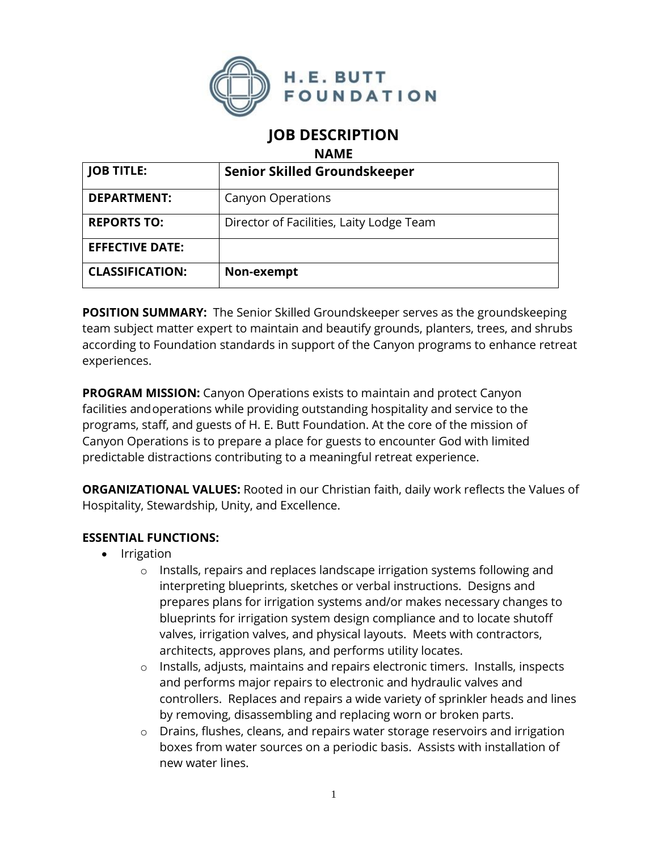

# **JOB DESCRIPTION**

**NAME**

| <b>JOB TITLE:</b>      | <b>Senior Skilled Groundskeeper</b>      |
|------------------------|------------------------------------------|
| <b>DEPARTMENT:</b>     | <b>Canyon Operations</b>                 |
| <b>REPORTS TO:</b>     | Director of Facilities, Laity Lodge Team |
| <b>EFFECTIVE DATE:</b> |                                          |
| <b>CLASSIFICATION:</b> | Non-exempt                               |

**POSITION SUMMARY:** The Senior Skilled Groundskeeper serves as the groundskeeping team subject matter expert to maintain and beautify grounds, planters, trees, and shrubs according to Foundation standards in support of the Canyon programs to enhance retreat experiences.

**PROGRAM MISSION:** Canyon Operations exists to maintain and protect Canyon facilities andoperations while providing outstanding hospitality and service to the programs, staff, and guests of H. E. Butt Foundation. At the core of the mission of Canyon Operations is to prepare a place for guests to encounter God with limited predictable distractions contributing to a meaningful retreat experience.

**ORGANIZATIONAL VALUES:** Rooted in our Christian faith, daily work reflects the Values of Hospitality, Stewardship, Unity, and Excellence.

### **ESSENTIAL FUNCTIONS:**

- Irrigation
	- o Installs, repairs and replaces landscape irrigation systems following and interpreting blueprints, sketches or verbal instructions. Designs and prepares plans for irrigation systems and/or makes necessary changes to blueprints for irrigation system design compliance and to locate shutoff valves, irrigation valves, and physical layouts. Meets with contractors, architects, approves plans, and performs utility locates.
	- o Installs, adjusts, maintains and repairs electronic timers. Installs, inspects and performs major repairs to electronic and hydraulic valves and controllers. Replaces and repairs a wide variety of sprinkler heads and lines by removing, disassembling and replacing worn or broken parts.
	- o Drains, flushes, cleans, and repairs water storage reservoirs and irrigation boxes from water sources on a periodic basis. Assists with installation of new water lines.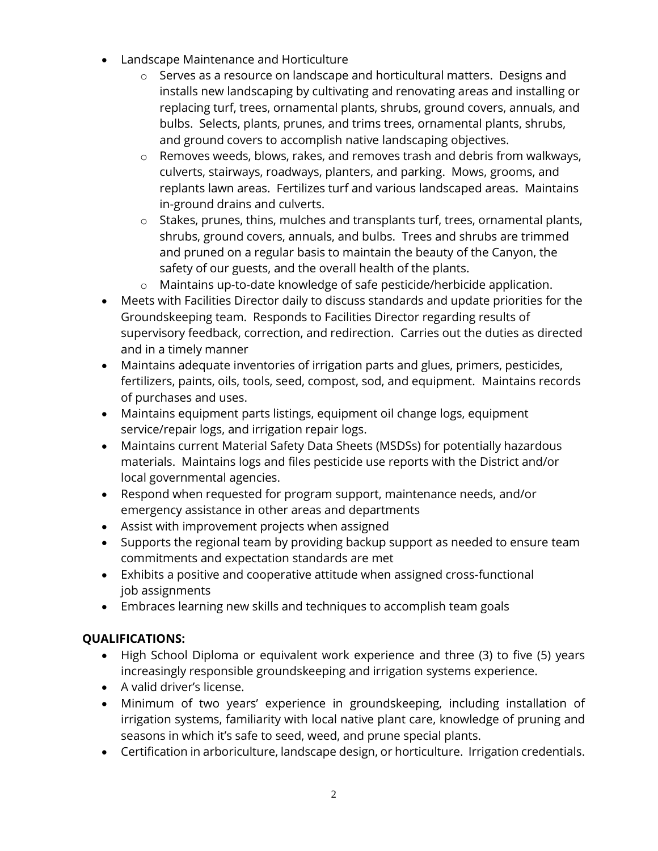- Landscape Maintenance and Horticulture
	- $\circ$  Serves as a resource on landscape and horticultural matters. Designs and installs new landscaping by cultivating and renovating areas and installing or replacing turf, trees, ornamental plants, shrubs, ground covers, annuals, and bulbs. Selects, plants, prunes, and trims trees, ornamental plants, shrubs, and ground covers to accomplish native landscaping objectives.
	- o Removes weeds, blows, rakes, and removes trash and debris from walkways, culverts, stairways, roadways, planters, and parking. Mows, grooms, and replants lawn areas. Fertilizes turf and various landscaped areas. Maintains in-ground drains and culverts.
	- o Stakes, prunes, thins, mulches and transplants turf, trees, ornamental plants, shrubs, ground covers, annuals, and bulbs. Trees and shrubs are trimmed and pruned on a regular basis to maintain the beauty of the Canyon, the safety of our guests, and the overall health of the plants.
	- o Maintains up-to-date knowledge of safe pesticide/herbicide application.
- Meets with Facilities Director daily to discuss standards and update priorities for the Groundskeeping team. Responds to Facilities Director regarding results of supervisory feedback, correction, and redirection. Carries out the duties as directed and in a timely manner
- Maintains adequate inventories of irrigation parts and glues, primers, pesticides, fertilizers, paints, oils, tools, seed, compost, sod, and equipment. Maintains records of purchases and uses.
- Maintains equipment parts listings, equipment oil change logs, equipment service/repair logs, and irrigation repair logs.
- Maintains current Material Safety Data Sheets (MSDSs) for potentially hazardous materials. Maintains logs and files pesticide use reports with the District and/or local governmental agencies.
- Respond when requested for program support, maintenance needs, and/or emergency assistance in other areas and departments
- Assist with improvement projects when assigned
- Supports the regional team by providing backup support as needed to ensure team commitments and expectation standards are met
- Exhibits a positive and cooperative attitude when assigned cross-functional job assignments
- Embraces learning new skills and techniques to accomplish team goals

## **QUALIFICATIONS:**

- High School Diploma or equivalent work experience and three (3) to five (5) years increasingly responsible groundskeeping and irrigation systems experience.
- A valid driver's license.
- Minimum of two years' experience in groundskeeping, including installation of irrigation systems, familiarity with local native plant care, knowledge of pruning and seasons in which it's safe to seed, weed, and prune special plants.
- Certification in arboriculture, landscape design, or horticulture. Irrigation credentials.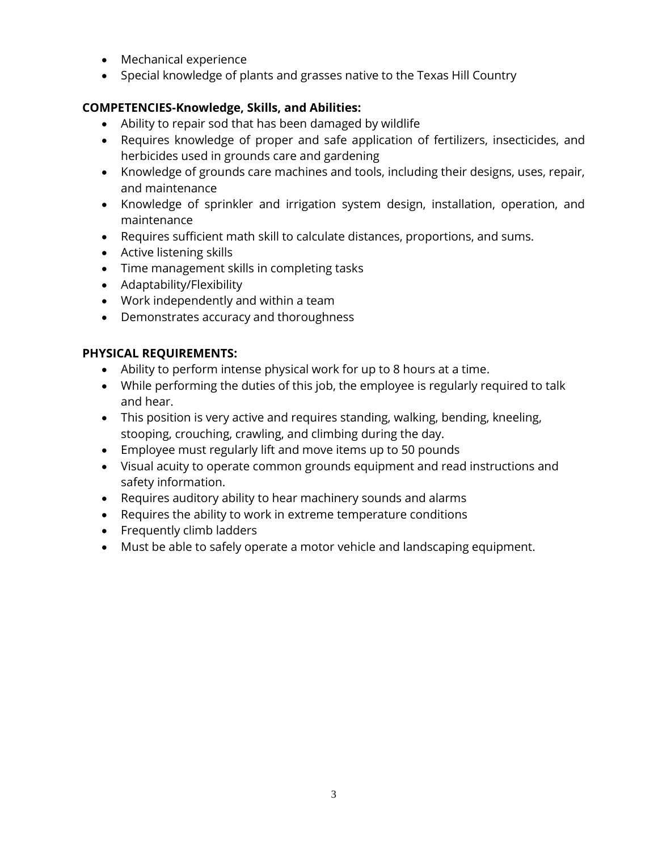- Mechanical experience
- Special knowledge of plants and grasses native to the Texas Hill Country

### **COMPETENCIES-Knowledge, Skills, and Abilities:**

- Ability to repair sod that has been damaged by wildlife
- Requires knowledge of proper and safe application of fertilizers, insecticides, and herbicides used in grounds care and gardening
- Knowledge of grounds care machines and tools, including their designs, uses, repair, and maintenance
- Knowledge of sprinkler and irrigation system design, installation, operation, and maintenance
- Requires sufficient math skill to calculate distances, proportions, and sums.
- Active listening skills
- Time management skills in completing tasks
- Adaptability/Flexibility
- Work independently and within a team
- Demonstrates accuracy and thoroughness

#### **PHYSICAL REQUIREMENTS:**

- Ability to perform intense physical work for up to 8 hours at a time.
- While performing the duties of this job, the employee is regularly required to talk and hear.
- This position is very active and requires standing, walking, bending, kneeling, stooping, crouching, crawling, and climbing during the day.
- Employee must regularly lift and move items up to 50 pounds
- Visual acuity to operate common grounds equipment and read instructions and safety information.
- Requires auditory ability to hear machinery sounds and alarms
- Requires the ability to work in extreme temperature conditions
- Frequently climb ladders
- Must be able to safely operate a motor vehicle and landscaping equipment.